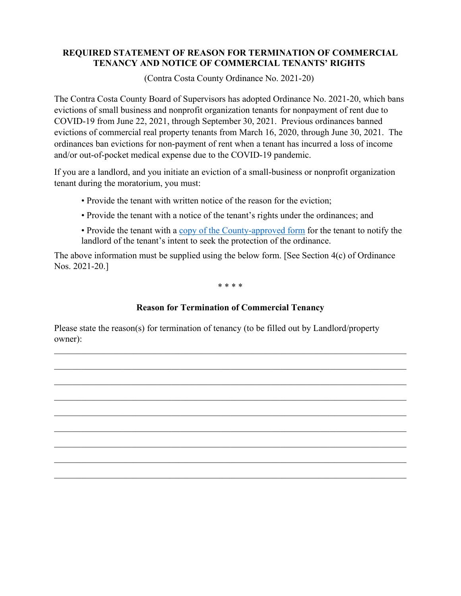## **REQUIRED STATEMENT OF REASON FOR TERMINATION OF COMMERCIAL TENANCY AND NOTICE OF COMMERCIAL TENANTS' RIGHTS**

(Contra Costa County Ordinance No. 2021-20)

The Contra Costa County Board of Supervisors has adopted Ordinance No. 2021-20, which bans evictions of small business and nonprofit organization tenants for nonpayment of rent due to COVID-19 from June 22, 2021, through September 30, 2021. Previous ordinances banned evictions of commercial real property tenants from March 16, 2020, through June 30, 2021. The ordinances ban evictions for non-payment of rent when a tenant has incurred a loss of income and/or out-of-pocket medical expense due to the COVID-19 pandemic.

If you are a landlord, and you initiate an eviction of a small-business or nonprofit organization tenant during the moratorium, you must:

- Provide the tenant with written notice of the reason for the eviction;
- Provide the tenant with a notice of the tenant's rights under the ordinances; and
- Provide the tenant with a [copy of the County-approved form](https://www.contracosta.ca.gov/DocumentCenter/View/68235/Commercial-Tenant-Notice-to-Landlord-Form-rev3232021) for the tenant to notify the landlord of the tenant's intent to seek the protection of the ordinance.

The above information must be supplied using the below form. [See Section 4(c) of Ordinance Nos. 2021-20.]

\* \* \* \*

## **Reason for Termination of Commercial Tenancy**

\_\_\_\_\_\_\_\_\_\_\_\_\_\_\_\_\_\_\_\_\_\_\_\_\_\_\_\_\_\_\_\_\_\_\_\_\_\_\_\_\_\_\_\_\_\_\_\_\_\_\_\_\_\_\_\_\_\_\_\_\_\_\_\_\_\_\_\_\_\_\_\_\_\_\_\_\_\_

\_\_\_\_\_\_\_\_\_\_\_\_\_\_\_\_\_\_\_\_\_\_\_\_\_\_\_\_\_\_\_\_\_\_\_\_\_\_\_\_\_\_\_\_\_\_\_\_\_\_\_\_\_\_\_\_\_\_\_\_\_\_\_\_\_\_\_\_\_\_\_\_\_\_\_\_\_\_

\_\_\_\_\_\_\_\_\_\_\_\_\_\_\_\_\_\_\_\_\_\_\_\_\_\_\_\_\_\_\_\_\_\_\_\_\_\_\_\_\_\_\_\_\_\_\_\_\_\_\_\_\_\_\_\_\_\_\_\_\_\_\_\_\_\_\_\_\_\_\_\_\_\_\_\_\_\_

\_\_\_\_\_\_\_\_\_\_\_\_\_\_\_\_\_\_\_\_\_\_\_\_\_\_\_\_\_\_\_\_\_\_\_\_\_\_\_\_\_\_\_\_\_\_\_\_\_\_\_\_\_\_\_\_\_\_\_\_\_\_\_\_\_\_\_\_\_\_\_\_\_\_\_\_\_\_

\_\_\_\_\_\_\_\_\_\_\_\_\_\_\_\_\_\_\_\_\_\_\_\_\_\_\_\_\_\_\_\_\_\_\_\_\_\_\_\_\_\_\_\_\_\_\_\_\_\_\_\_\_\_\_\_\_\_\_\_\_\_\_\_\_\_\_\_\_\_\_\_\_\_\_\_\_\_

Please state the reason(s) for termination of tenancy (to be filled out by Landlord/property owner):